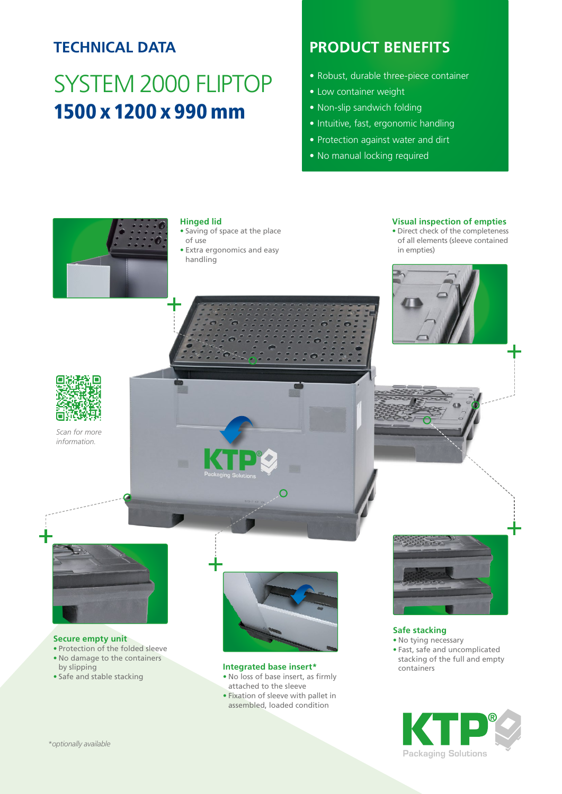## **TECHNICAL DATA**

# SYSTEM 2000 FLIPTOP 1500 x 1200 x 990 mm

## **PRODUCT BENEFITS**

- Robust, durable three-piece container
- Low container weight
- Non-slip sandwich folding
- Intuitive, fast, ergonomic handling
- Protection against water and dirt
- No manual locking required



#### **Hinged lid**

- Saving of space at the place of use
- Extra ergonomics and easy handling

#### **Visual inspection of empties**

• Direct check of the completeness of all elements (sleeve contained in empties)



*Scan for more information.*





#### **Secure empty unit**

- Protection of the folded sleeve
- No damage to the containers by slipping
- Safe and stable stacking



#### **Integrated base insert\***

- No loss of base insert, as firmly attached to the sleeve
- Fixation of sleeve with pallet in assembled, loaded condition



#### **Safe stacking**

• No tying necessary • Fast, safe and uncomplicated stacking of the full and empty containers